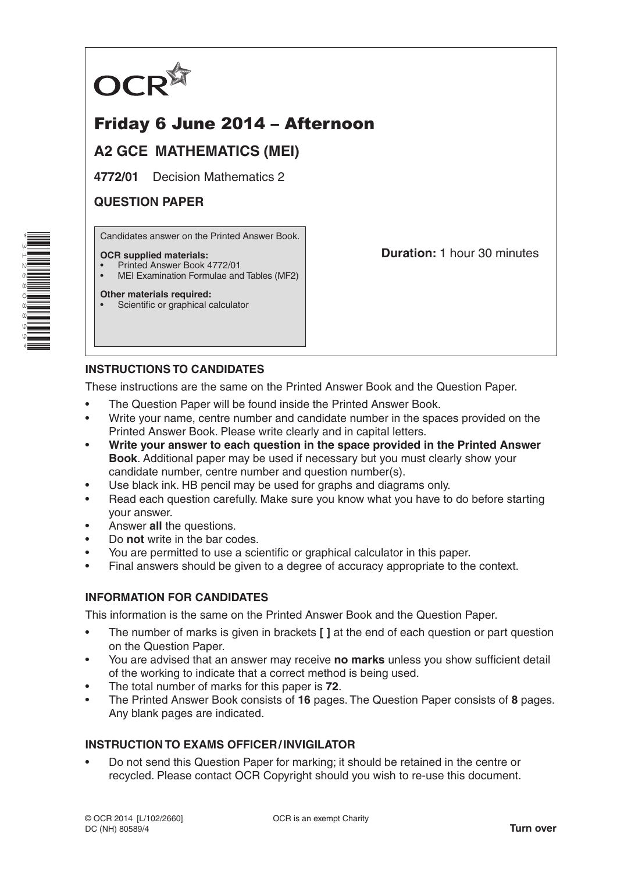

# Friday 6 June 2014 – Afternoon

# **A2 GCE MATHEMATICS (MEI)**

**4772/01** Decision Mathematics 2

# **QUESTION PAPER**

Candidates answer on the Printed Answer Book.

#### **OCR supplied materials:**

- Printed Answer Book 4772/01
- MEI Examination Formulae and Tables (MF2)

#### **Other materials required:**

Scientific or graphical calculator

**Duration:** 1 hour 30 minutes

## **INSTRUCTIONS TO CANDIDATES**

These instructions are the same on the Printed Answer Book and the Question Paper.

- The Question Paper will be found inside the Printed Answer Book.
- Write your name, centre number and candidate number in the spaces provided on the Printed Answer Book. Please write clearly and in capital letters.
- **Write your answer to each question in the space provided in the Printed Answer Book**. Additional paper may be used if necessary but you must clearly show your candidate number, centre number and question number(s).
- Use black ink. HB pencil may be used for graphs and diagrams only.
- Read each question carefully. Make sure you know what you have to do before starting your answer.
- Answer **all** the questions.
- Do **not** write in the bar codes.
- You are permitted to use a scientific or graphical calculator in this paper.
- Final answers should be given to a degree of accuracy appropriate to the context.

#### **INFORMATION FOR CANDIDATES**

This information is the same on the Printed Answer Book and the Question Paper.

- The number of marks is given in brackets **[ ]** at the end of each question or part question on the Question Paper.
- You are advised that an answer may receive **no marks** unless you show sufficient detail of the working to indicate that a correct method is being used.
- The total number of marks for this paper is **72**.
- The Printed Answer Book consists of **16** pages. The Question Paper consists of **8** pages. Any blank pages are indicated.

#### **INSTRUCTION TO EXAMS OFFICER/INVIGILATOR**

• Do not send this Question Paper for marking; it should be retained in the centre or recycled. Please contact OCR Copyright should you wish to re-use this document.

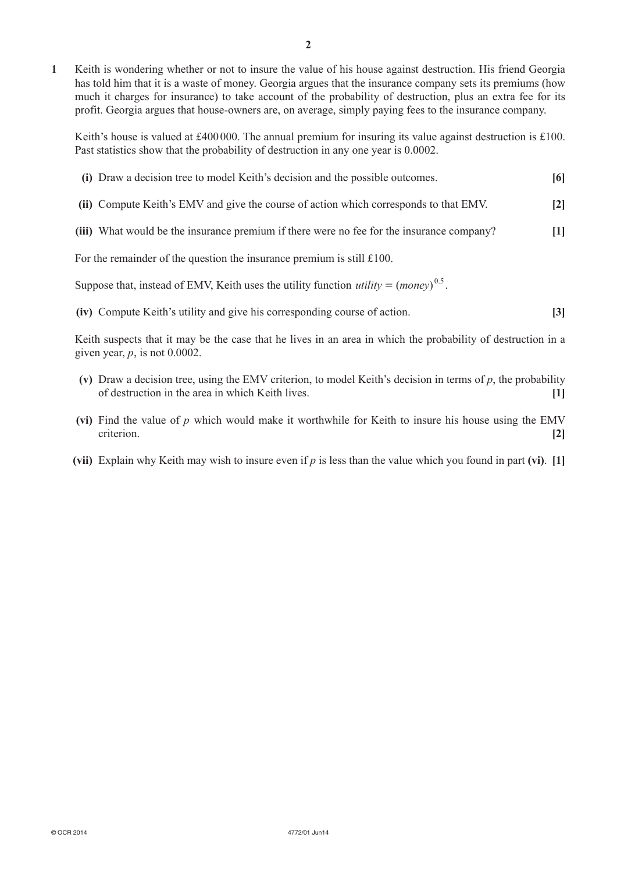**1**  Keith is wondering whether or not to insure the value of his house against destruction. His friend Georgia has told him that it is a waste of money. Georgia argues that the insurance company sets its premiums (how much it charges for insurance) to take account of the probability of destruction, plus an extra fee for its profit. Georgia argues that house-owners are, on average, simply paying fees to the insurance company.

Keith's house is valued at £400,000. The annual premium for insuring its value against destruction is £100. Past statistics show that the probability of destruction in any one year is 0.0002.

| (i) Draw a decision tree to model Keith's decision and the possible outcomes.         | [6]               |
|---------------------------------------------------------------------------------------|-------------------|
| (ii) Compute Keith's EMV and give the course of action which corresponds to that EMV. | $\lceil 2 \rceil$ |

**(iii)** What would be the insurance premium if there were no fee for the insurance company? [1]

For the remainder of the question the insurance premium is still £100.

Suppose that, instead of EMV, Keith uses the utility function *utility* =  $(money)^{0.5}$ .

 **(iv)**  Compute Keith's utility and give his corresponding course of action. **[3]**

Keith suspects that it may be the case that he lives in an area in which the probability of destruction in a given year,  $p$ , is not 0.0002.

- **(v)** Draw a decision tree, using the EMV criterion, to model Keith's decision in terms of  $p$ , the probability of destruction in the area in which Keith lives. **[1]**
- **(vi)** Find the value of *p* which would make it worthwhile for Keith to insure his house using the EMV criterion. **[2]**
- **(vii)** Explain why Keith may wish to insure even if  $p$  is less than the value which you found in part **(vi)**. [1]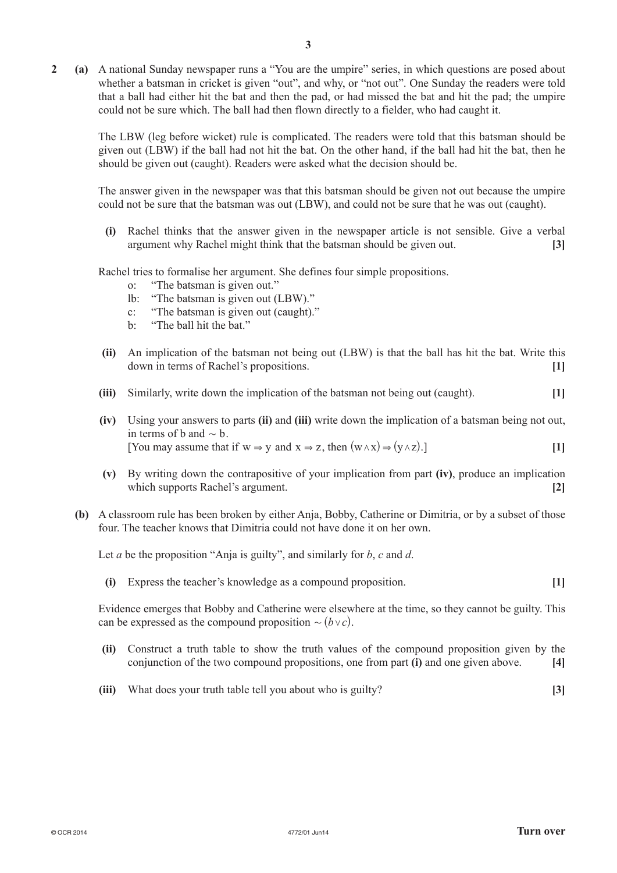**2 (a)**  A national Sunday newspaper runs a "You are the umpire" series, in which questions are posed about whether a batsman in cricket is given "out", and why, or "not out". One Sunday the readers were told that a ball had either hit the bat and then the pad, or had missed the bat and hit the pad; the umpire could not be sure which. The ball had then flown directly to a fielder, who had caught it.

The LBW (leg before wicket) rule is complicated. The readers were told that this batsman should be given out (LBW) if the ball had not hit the bat. On the other hand, if the ball had hit the bat, then he should be given out (caught). Readers were asked what the decision should be.

The answer given in the newspaper was that this batsman should be given not out because the umpire could not be sure that the batsman was out (LBW), and could not be sure that he was out (caught).

**(i)** Rachel thinks that the answer given in the newspaper article is not sensible. Give a verbal argument why Rachel might think that the batsman should be given out. **[3]**

Rachel tries to formalise her argument. She defines four simple propositions.

- o: "The batsman is given out."
- lb: "The batsman is given out (LBW)."
- c: "The batsman is given out (caught)."
- b: "The ball hit the bat."
- **(ii)** An implication of the batsman not being out (LBW) is that the ball has hit the bat. Write this down in terms of Rachel's propositions. **[1]**
- **(iii)** Similarly, write down the implication of the batsman not being out (caught). [1]
- **(iv)** Using your answers to parts **(ii)** and **(iii)** write down the implication of a batsman being not out, in terms of b and  $\sim$  b. [You may assume that if  $w \Rightarrow y$  and  $x \Rightarrow z$ , then  $(w \land x) \Rightarrow (y \land z)$ .] [1]
- **(v)** By writing down the contrapositive of your implication from part (iv), produce an implication which supports Rachel's argument. **[2] [2]**
- **(b)** A classroom rule has been broken by either Anja, Bobby, Catherine or Dimitria, or by a subset of those four. The teacher knows that Dimitria could not have done it on her own.

Let *a* be the proposition "Anja is guilty", and similarly for  $b$ ,  $c$  and  $d$ .

**(i)** Express the teacher's knowledge as a compound proposition. **[1]** 

Evidence emerges that Bobby and Catherine were elsewhere at the time, so they cannot be guilty. This can be expressed as the compound proposition  $\sim (b \vee c)$ .

- **(ii)** Construct a truth table to show the truth values of the compound proposition given by the conjunction of the two compound propositions, one from part **(i)** and one given above. **[4]**
- *(iii)* What does your truth table tell you about who is guilty? [3]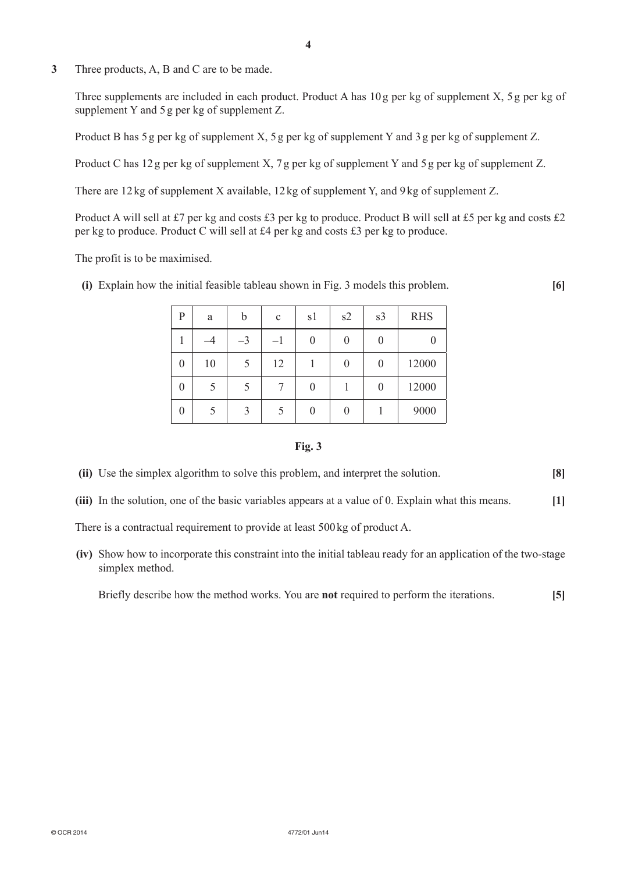**3**  Three products, A, B and C are to be made.

Three supplements are included in each product. Product A has 10 g per kg of supplement X, 5 g per kg of supplement Y and 5 g per kg of supplement Z.

Product B has 5 g per kg of supplement X, 5g per kg of supplement Y and 3g per kg of supplement Z.

Product C has 12 g per kg of supplement X, 7g per kg of supplement Y and 5g per kg of supplement Z.

There are 12 kg of supplement X available, 12kg of supplement Y, and 9 kg of supplement Z.

Product A will sell at £7 per kg and costs £3 per kg to produce. Product B will sell at £5 per kg and costs £2 per kg to produce. Product C will sell at £4 per kg and costs £3 per kg to produce.

The profit is to be maximised.

**(i)** Explain how the initial feasible tableau shown in Fig. 3 models this problem. **[6]** 

| P        | a  | b    | $\mathbf c$ | s1       | s2 | s <sub>3</sub> | <b>RHS</b> |
|----------|----|------|-------------|----------|----|----------------|------------|
|          |    | $-3$ | $-1$        | 0        | 0  | $\theta$       |            |
| 0        | 10 | 5    | 12          |          | 0  | 0              | 12000      |
| 0        | 5  | 5    |             | 0        |    | $\theta$       | 12000      |
| $\left($ | 5  | 3    | 5           | $\Omega$ | 0  |                | 9000       |

#### **Fig. 3**

- **(ii)** Use the simplex algorithm to solve this problem, and interpret the solution. **[8]**
- **(iii)** In the solution, one of the basic variables appears at a value of 0. Explain what this means. **[1]**

There is a contractual requirement to provide at least 500kg of product A.

**(iv)** Show how to incorporate this constraint into the initial tableau ready for an application of the two-stage simplex method.

Briefly describe how the method works. You are **not** required to perform the iterations. **[5]**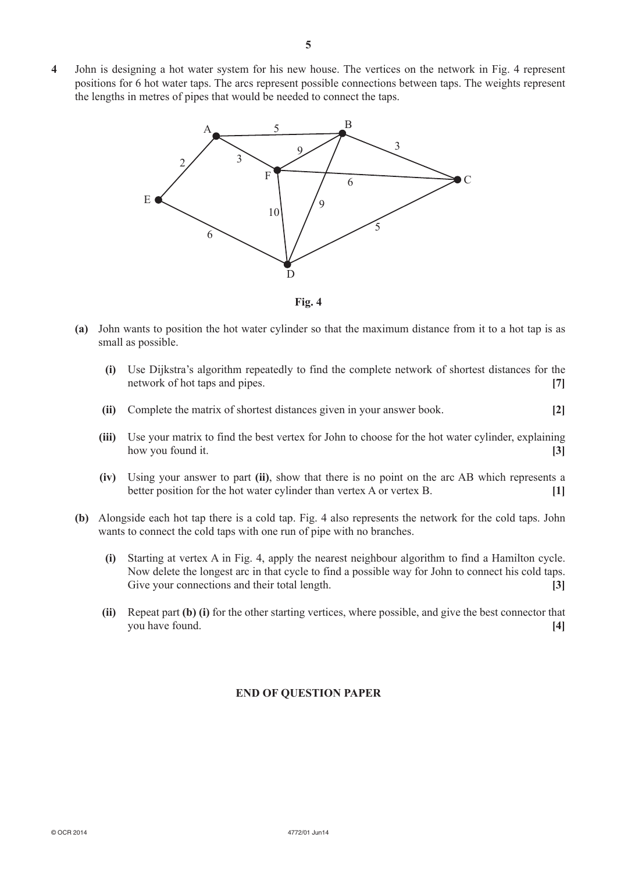**4**  John is designing a hot water system for his new house. The vertices on the network in Fig. 4 represent positions for 6 hot water taps. The arcs represent possible connections between taps. The weights represent the lengths in metres of pipes that would be needed to connect the taps.



**Fig. 4**

- **(a)** John wants to position the hot water cylinder so that the maximum distance from it to a hot tap is as small as possible.
	- **(i)** Use Dijkstra's algorithm repeatedly to find the complete network of shortest distances for the network of hot taps and pipes. **[7]**
	- **(ii)** Complete the matrix of shortest distances given in your answer book. [2]
	- **(iii)** Use your matrix to find the best vertex for John to choose for the hot water cylinder, explaining how you found it. **[3]**
	- **(iv)** Using your answer to part **(ii)**, show that there is no point on the arc AB which represents a better position for the hot water cylinder than vertex A or vertex B. **[1]**
- **(b)** Alongside each hot tap there is a cold tap. Fig. 4 also represents the network for the cold taps. John wants to connect the cold taps with one run of pipe with no branches.
	- **(i)** Starting at vertex A in Fig. 4, apply the nearest neighbour algorithm to find a Hamilton cycle. Now delete the longest arc in that cycle to find a possible way for John to connect his cold taps. Give your connections and their total length. **[3]**
	- **(ii)** Repeat part **(b) (i)** for the other starting vertices, where possible, and give the best connector that you have found. **[4]**

#### **END OF QUESTION PAPER**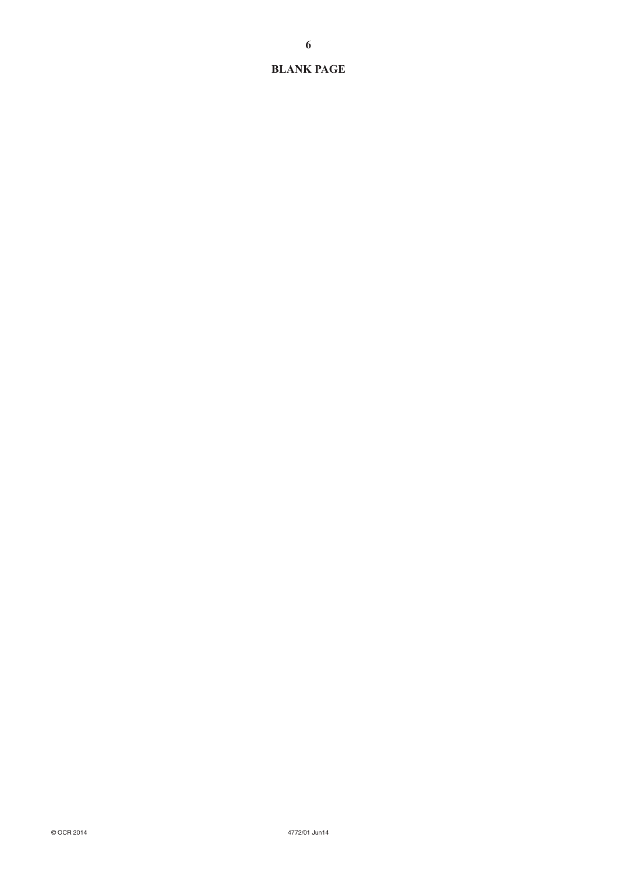### **BLANK PAGE**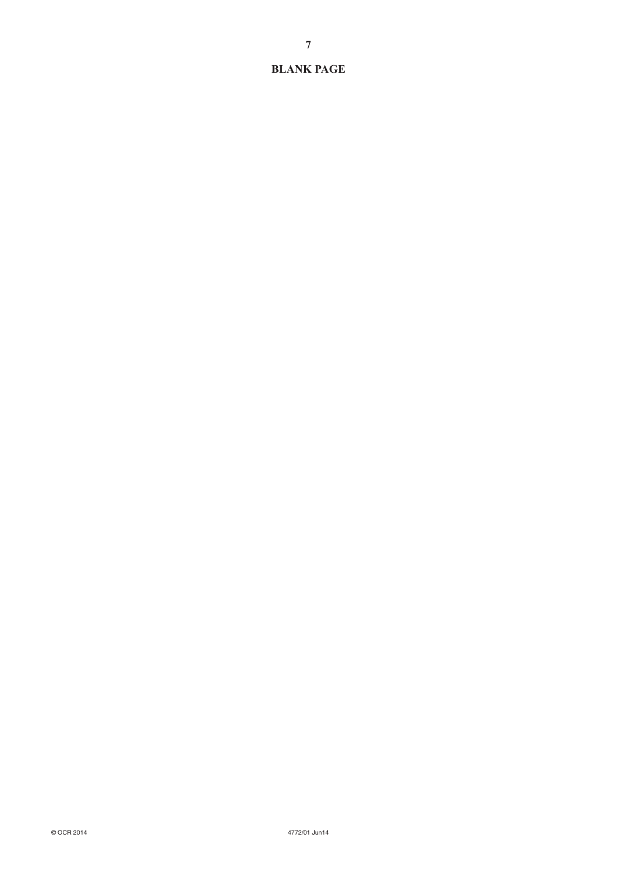### **BLANK PAGE**